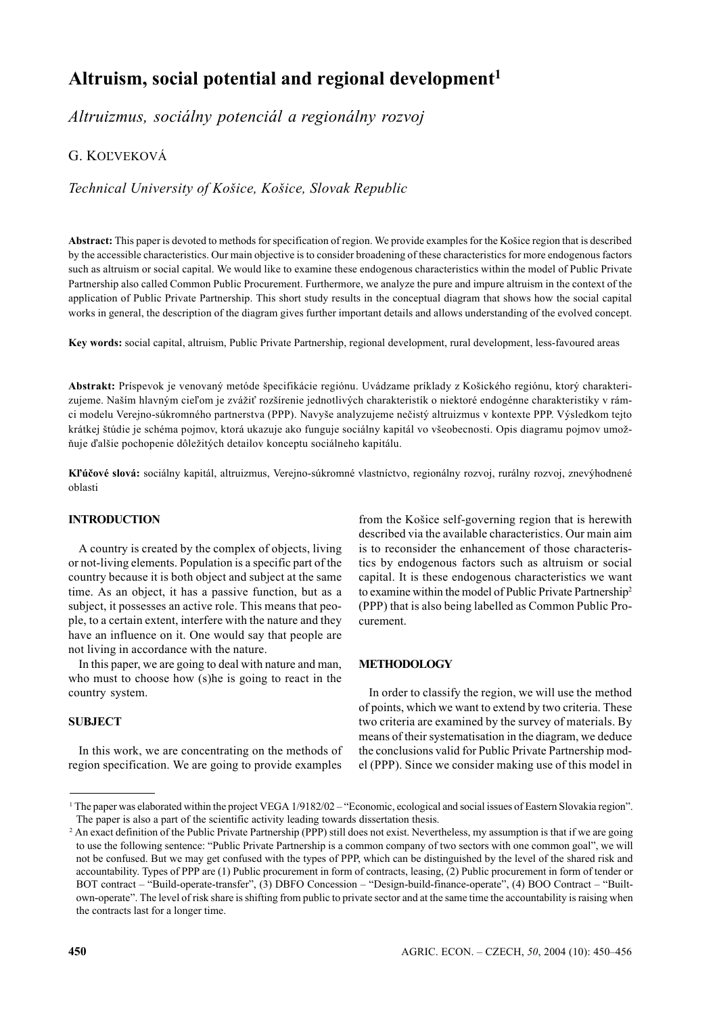# **Altruism, social potential and regional development1**

*Altruizmus, sociálny potenciál a regionálny rozvoj*

# G. KOĽVEKOVÁ

*Technical University of Košice, Košice, Slovak Republic*

**Abstract:** This paper is devoted to methods for specification of region. We provide examples for the Košice region that is described by the accessible characteristics. Our main objective is to consider broadening of these characteristics for more endogenous factors such as altruism or social capital. We would like to examine these endogenous characteristics within the model of Public Private Partnership also called Common Public Procurement. Furthermore, we analyze the pure and impure altruism in the context of the application of Public Private Partnership. This short study results in the conceptual diagram that shows how the social capital works in general, the description of the diagram gives further important details and allows understanding of the evolved concept.

**Key words:** social capital, altruism, Public Private Partnership, regional development, rural development, less-favoured areas

**Abstrakt:** Príspevok je venovaný metóde špecifikácie regiónu. Uvádzame príklady z Košického regiónu, ktorý charakterizujeme. Naším hlavným cieľom je zvážiť rozšírenie jednotlivých charakteristík o niektoré endogénne charakteristiky v rámci modelu Verejno-súkromného partnerstva (PPP). Navyše analyzujeme nečistý altruizmus v kontexte PPP. Výsledkom tejto krátkej štúdie je schéma pojmov, ktorá ukazuje ako funguje sociálny kapitál vo všeobecnosti. Opis diagramu pojmov umožňuje ďalšie pochopenie dôležitých detailov konceptu sociálneho kapitálu.

**Kľúčové slová:** sociálny kapitál, altruizmus, Verejno-súkromné vlastníctvo, regionálny rozvoj, rurálny rozvoj, znevýhodnené oblasti

## **INTRODUCTION**

A country is created by the complex of objects, living or not-living elements. Population is a specific part of the country because it is both object and subject at the same time. As an object, it has a passive function, but as a subject, it possesses an active role. This means that people, to a certain extent, interfere with the nature and they have an influence on it. One would say that people are not living in accordance with the nature.

In this paper, we are going to deal with nature and man, who must to choose how (s)he is going to react in the country system.

## **SUBJECT**

In this work, we are concentrating on the methods of region specification. We are going to provide examples

from the Košice self-governing region that is herewith described via the available characteristics. Our main aim is to reconsider the enhancement of those characteristics by endogenous factors such as altruism or social capital. It is these endogenous characteristics we want to examine within the model of Public Private Partnership2 (PPP) that is also being labelled as Common Public Procurement.

## **METHODOLOGY**

In order to classify the region, we will use the method of points, which we want to extend by two criteria. These two criteria are examined by the survey of materials. By means of their systematisation in the diagram, we deduce the conclusions valid for Public Private Partnership model (PPP). Since we consider making use of this model in

<sup>1</sup> The paper was elaborated within the project VEGA 1/9182/02 – "Economic, ecological and social issues of Eastern Slovakia region". The paper is also a part of the scientific activity leading towards dissertation thesis.

<sup>&</sup>lt;sup>2</sup> An exact definition of the Public Private Partnership (PPP) still does not exist. Nevertheless, my assumption is that if we are going to use the following sentence: "Public Private Partnership is a common company of two sectors with one common goal", we will not be confused. But we may get confused with the types of PPP, which can be distinguished by the level of the shared risk and accountability. Types of PPP are (1) Public procurement in form of contracts, leasing, (2) Public procurement in form of tender or BOT contract – "Build-operate-transfer", (3) DBFO Concession – "Design-build-finance-operate", (4) BOO Contract – "Builtown-operate". The level of risk share is shifting from public to private sector and at the same time the accountability is raising when the contracts last for a longer time.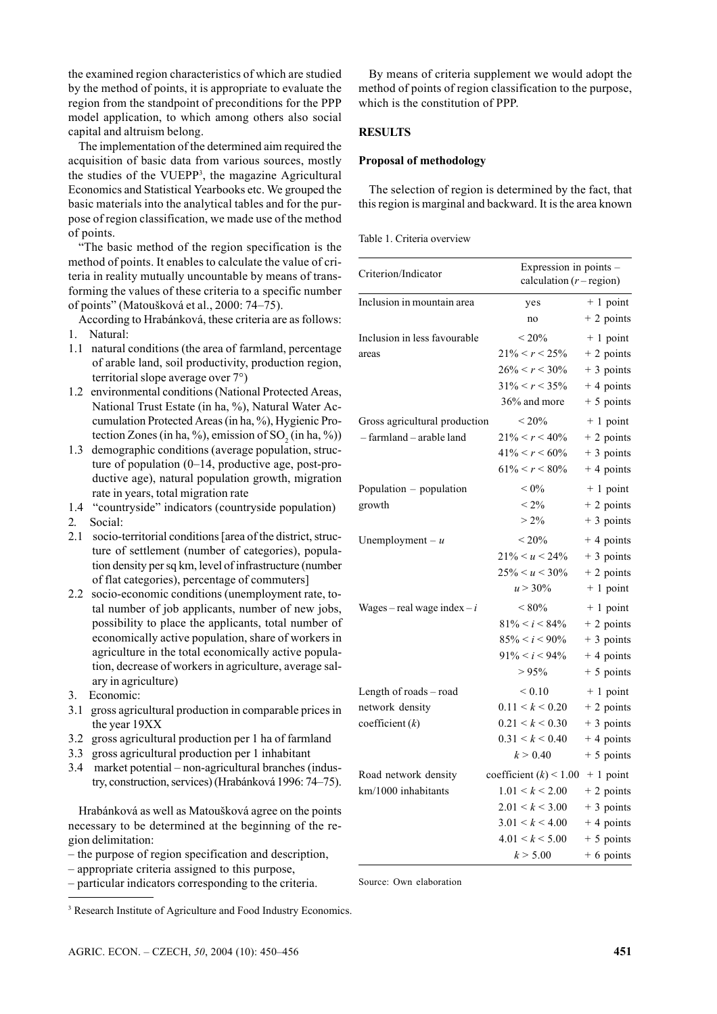the examined region characteristics of which are studied by the method of points, it is appropriate to evaluate the region from the standpoint of preconditions for the PPP model application, to which among others also social capital and altruism belong.

The implementation of the determined aim required the acquisition of basic data from various sources, mostly the studies of the VUEPP3 , the magazine Agricultural Economics and Statistical Yearbooks etc. We grouped the basic materials into the analytical tables and for the purpose of region classification, we made use of the method of points.

"The basic method of the region specification is the method of points. It enables to calculate the value of criteria in reality mutually uncountable by means of transforming the values of these criteria to a specific number of points" (Matoušková et al., 2000: 74–75).

According to Hrabánková, these criteria are as follows: 1. Natural:

- 1.1 natural conditions (the area of farmland, percentage of arable land, soil productivity, production region, territorial slope average over 7°)
- 1.2 environmental conditions (National Protected Areas, National Trust Estate (in ha, %), Natural Water Accumulation Protected Areas (in ha, %), Hygienic Protection Zones (in ha, %), emission of  $SO_2$  (in ha, %))
- 1.3 demographic conditions (average population, structure of population (0–14, productive age, post-productive age), natural population growth, migration rate in years, total migration rate
- 1.4 "countryside" indicators (countryside population)
- 2. Social:
- 2.1 socio-territorial conditions [area of the district, structure of settlement (number of categories), population density per sq km, level of infrastructure (number of flat categories), percentage of commuters]
- 2.2 socio-economic conditions (unemployment rate, total number of job applicants, number of new jobs, possibility to place the applicants, total number of economically active population, share of workers in agriculture in the total economically active population, decrease of workers in agriculture, average salary in agriculture)
- 3. Economic:
- 3.1 gross agricultural production in comparable prices in the year 19XX
- 3.2 gross agricultural production per 1 ha of farmland
- 3.3 gross agricultural production per 1 inhabitant
- 3.4 market potential non-agricultural branches (industry, construction, services) (Hrabánková 1996: 74–75).

Hrabánková as well as Matoušková agree on the points necessary to be determined at the beginning of the region delimitation:

- the purpose of region specification and description,
- appropriate criteria assigned to this purpose,
- particular indicators corresponding to the criteria.

<sup>3</sup> Research Institute of Agriculture and Food Industry Economics.

By means of criteria supplement we would adopt the method of points of region classification to the purpose, which is the constitution of PPP.

#### **RESULTS**

#### **Proposal of methodology**

The selection of region is determined by the fact, that this region is marginal and backward. It is the area known

|  | Table 1. Criteria overview |
|--|----------------------------|
|  |                            |

| Criterion/Indicator           |                          | Expression in points -<br>calculation $(r -$ region) |  |  |  |  |
|-------------------------------|--------------------------|------------------------------------------------------|--|--|--|--|
| Inclusion in mountain area    | yes                      | $+1$ point                                           |  |  |  |  |
|                               | no                       | $+2$ points                                          |  |  |  |  |
| Inclusion in less favourable  | $< 20\%$                 | $+1$ point                                           |  |  |  |  |
| areas                         | $21\% < r < 25\%$        | $+2$ points                                          |  |  |  |  |
|                               | $26\% < r < 30\%$        | $+3$ points                                          |  |  |  |  |
|                               | $31\% < r < 35\%$        | $+4$ points                                          |  |  |  |  |
|                               | 36% and more             | $+5$ points                                          |  |  |  |  |
| Gross agricultural production | $< 20\%$                 | $+1$ point                                           |  |  |  |  |
| - farmland - arable land      | $21\% < r < 40\%$        | $+2$ points                                          |  |  |  |  |
|                               | $41\% < r < 60\%$        | $+3$ points                                          |  |  |  |  |
|                               | $61\% < r < 80\%$        | $+4$ points                                          |  |  |  |  |
| Population - population       | ${}< 0\%$                | $+1$ point                                           |  |  |  |  |
| growth                        | $< 2\%$                  | $+2$ points                                          |  |  |  |  |
|                               | $> 2\%$                  | $+3$ points                                          |  |  |  |  |
| Unemployment $- u$            | ${}_{\leq} 20\%$         | $+4$ points                                          |  |  |  |  |
|                               | $21\% < u < 24\%$        | $+3$ points                                          |  |  |  |  |
|                               | $25\% < u < 30\%$        | $+2$ points                                          |  |  |  |  |
|                               | $u > 30\%$               | $+1$ point                                           |  |  |  |  |
| Wages – real wage index – $i$ | $< 80\%$                 | $+1$ point                                           |  |  |  |  |
|                               | $81\% < i < 84\%$        | $+2$ points                                          |  |  |  |  |
|                               | $85\% < i < 90\%$        | $+3$ points                                          |  |  |  |  |
|                               | $91\% < i < 94\%$        | $+4$ points                                          |  |  |  |  |
|                               | $> 95\%$                 | $+5$ points                                          |  |  |  |  |
| Length of roads - road        | ${}< 0.10$               | $+1$ point                                           |  |  |  |  |
| network density               | $0.11 \leq k \leq 0.20$  | $+2$ points                                          |  |  |  |  |
| coefficient $(k)$             | $0.21 \leq k \leq 0.30$  | $+3$ points                                          |  |  |  |  |
|                               | 0.31 < k < 0.40          | $+4$ points                                          |  |  |  |  |
|                               | k > 0.40                 | $+5$ points                                          |  |  |  |  |
| Road network density          | coefficient $(k)$ < 1.00 | $+1$ point                                           |  |  |  |  |
| km/1000 inhabitants           | $1.01 \leq k \leq 2.00$  | $+2$ points                                          |  |  |  |  |
|                               | $2.01 \leq k \leq 3.00$  | $+3$ points                                          |  |  |  |  |
|                               | $3.01 \leq k \leq 4.00$  | $+4$ points                                          |  |  |  |  |
|                               | $4.01 \leq k \leq 5.00$  | $+5$ points                                          |  |  |  |  |
|                               | k > 5.00                 | $+ 6$ points                                         |  |  |  |  |

Source: Own elaboration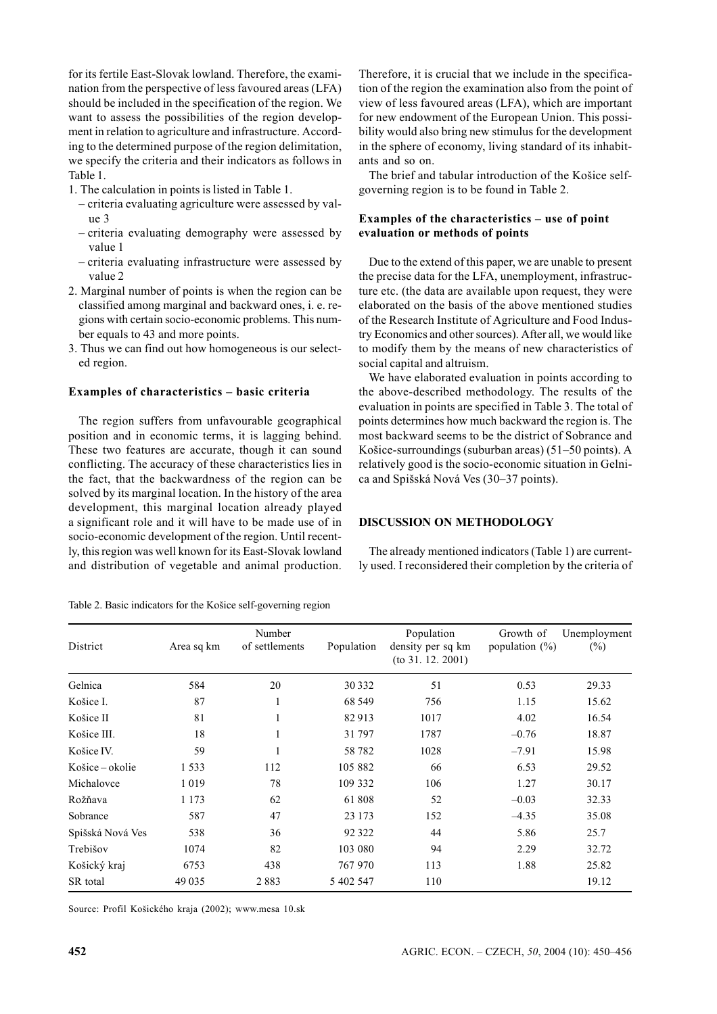for its fertile East-Slovak lowland. Therefore, the examination from the perspective of less favoured areas (LFA) should be included in the specification of the region. We want to assess the possibilities of the region development in relation to agriculture and infrastructure. According to the determined purpose of the region delimitation, we specify the criteria and their indicators as follows in Table 1.

1. The calculation in points is listed in Table 1.

- criteria evaluating agriculture were assessed by value 3
- criteria evaluating demography were assessed by value 1
- criteria evaluating infrastructure were assessed by value 2
- 2. Marginal number of points is when the region can be classified among marginal and backward ones, i. e. regions with certain socio-economic problems. This number equals to 43 and more points.
- 3. Thus we can find out how homogeneous is our selected region.

#### **Examples of characteristics – basic criteria**

The region suffers from unfavourable geographical position and in economic terms, it is lagging behind. These two features are accurate, though it can sound conflicting. The accuracy of these characteristics lies in the fact, that the backwardness of the region can be solved by its marginal location. In the history of the area development, this marginal location already played a significant role and it will have to be made use of in socio-economic development of the region. Until recently, this region was well known for its East-Slovak lowland and distribution of vegetable and animal production.

Therefore, it is crucial that we include in the specification of the region the examination also from the point of view of less favoured areas (LFA), which are important for new endowment of the European Union. This possibility would also bring new stimulus for the development in the sphere of economy, living standard of its inhabitants and so on.

The brief and tabular introduction of the Košice selfgoverning region is to be found in Table 2.

## **Examples of the characteristics – use of point evaluation or methods of points**

Due to the extend of this paper, we are unable to present the precise data for the LFA, unemployment, infrastructure etc. (the data are available upon request, they were elaborated on the basis of the above mentioned studies of the Research Institute of Agriculture and Food Industry Economics and other sources). After all, we would like to modify them by the means of new characteristics of social capital and altruism.

We have elaborated evaluation in points according to the above-described methodology. The results of the evaluation in points are specified in Table 3. The total of points determines how much backward the region is. The most backward seems to be the district of Sobrance and Košice-surroundings (suburban areas) (51–50 points). A relatively good is the socio-economic situation in Gelnica and Spišská Nová Ves (30–37 points).

## **DISCUSSION ON METHODOLOGY**

The already mentioned indicators (Table 1) are currently used. I reconsidered their completion by the criteria of

| District         | Area sq km | Number<br>of settlements | Population | Population<br>density per sq km<br>(to 31. 12. 2001) | Growth of<br>population $(\%)$ | Unemployment<br>$(\%)$ |
|------------------|------------|--------------------------|------------|------------------------------------------------------|--------------------------------|------------------------|
| Gelnica          | 584        | 20                       | 30 3 32    | 51                                                   | 0.53                           | 29.33                  |
| Košice I.        | 87         | 1                        | 68 549     | 756                                                  | 1.15                           | 15.62                  |
| Košice II        | 81         |                          | 82913      | 1017                                                 | 4.02                           | 16.54                  |
| Košice III.      | 18         |                          | 31797      | 1787                                                 | $-0.76$                        | 18.87                  |
| Košice IV.       | 59         |                          | 58782      | 1028                                                 | $-7.91$                        | 15.98                  |
| Košice – okolie  | 1533       | 112                      | 105 882    | 66                                                   | 6.53                           | 29.52                  |
| Michalovce       | 1019       | 78                       | 109 332    | 106                                                  | 1.27                           | 30.17                  |
| Rožňava          | 1 1 7 3    | 62                       | 61808      | 52                                                   | $-0.03$                        | 32.33                  |
| Sobrance         | 587        | 47                       | 23 173     | 152                                                  | $-4.35$                        | 35.08                  |
| Spišská Nová Ves | 538        | 36                       | 92 3 22    | 44                                                   | 5.86                           | 25.7                   |
| Trebišov         | 1074       | 82                       | 103 080    | 94                                                   | 2.29                           | 32.72                  |
| Košický kraj     | 6753       | 438                      | 767 970    | 113                                                  | 1.88                           | 25.82                  |
| SR total         | 49 0 35    | 2883                     | 5 402 547  | 110                                                  |                                | 19.12                  |

Table 2. Basic indicators for the Košice self-governing region

Source: Profil Košického kraja (2002); www.mesa 10.sk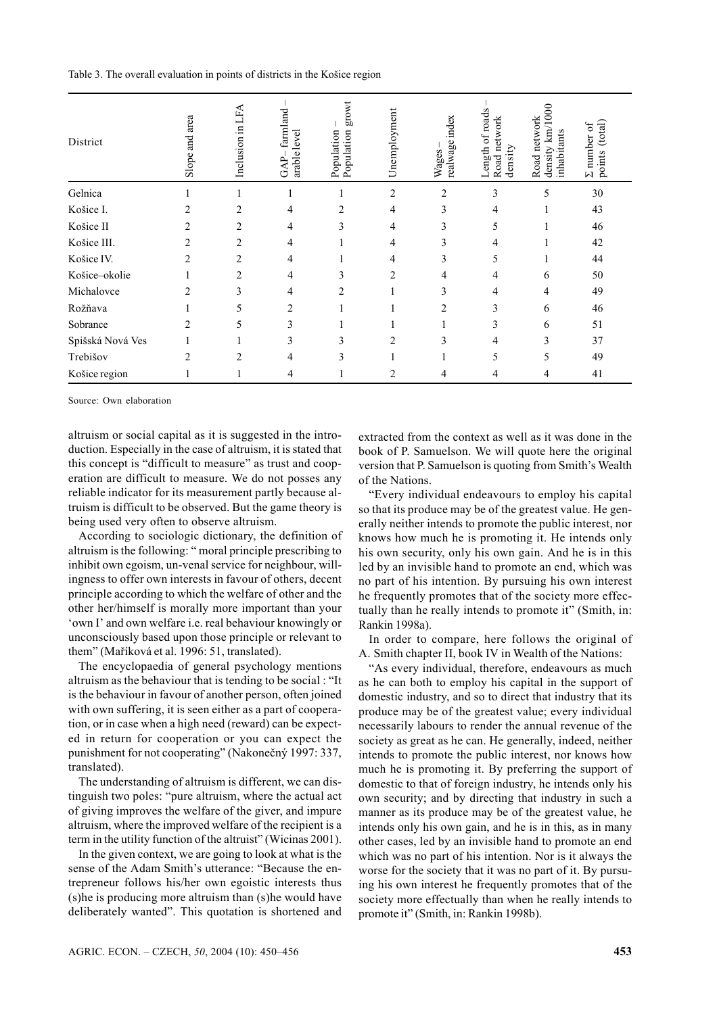Table 3. The overall evaluation in points of districts in the Košice region

| District         | Slope and area | LFA<br>Inclusion in | farmland<br>arable level<br>GAP- | growt<br>Population<br>Population | Unemployment   | realwage index<br>Wages- | Length of roads<br>Road network<br>density | 1000<br>Road network<br>वि<br>inhabitants<br>density | (total)<br>$\sigma$<br>number<br>points<br>$\mathbf{N}$ |
|------------------|----------------|---------------------|----------------------------------|-----------------------------------|----------------|--------------------------|--------------------------------------------|------------------------------------------------------|---------------------------------------------------------|
| Gelnica          |                |                     |                                  |                                   | $\overline{c}$ | $\overline{2}$           | 3                                          | 5                                                    | 30                                                      |
| Košice I.        | 2              | 2                   | 4                                | 2                                 | 4              | 3                        | 4                                          |                                                      | 43                                                      |
| Košice II        | 2              | $\overline{c}$      | 4                                | 3                                 | 4              | 3                        | 5                                          |                                                      | 46                                                      |
| Košice III.      | 2              | $\overline{2}$      | 4                                |                                   | 4              | 3                        | 4                                          |                                                      | 42                                                      |
| Košice IV.       | 2              | $\overline{2}$      | 4                                |                                   | 4              | 3                        | 5                                          |                                                      | 44                                                      |
| Košice-okolie    |                | $\overline{c}$      | 4                                | 3                                 | 2              | 4                        | 4                                          | 6                                                    | 50                                                      |
| Michalovce       | 2              | 3                   | 4                                | 2                                 |                | 3                        | 4                                          | 4                                                    | 49                                                      |
| Rožňava          |                | 5                   | 2                                |                                   |                | 2                        | 3                                          | 6                                                    | 46                                                      |
| Sobrance         | 2              | 5                   | 3                                |                                   |                |                          | 3                                          | 6                                                    | 51                                                      |
| Spišská Nová Ves |                |                     | 3                                | 3                                 | 2              | 3                        | 4                                          | 3                                                    | 37                                                      |
| Trebišov         | 2              | $\mathfrak{D}$      | 4                                | 3                                 |                |                          | 5                                          | 5                                                    | 49                                                      |
| Košice region    |                |                     | 4                                |                                   | 2              | 4                        | 4                                          | 4                                                    | 41                                                      |

Source: Own elaboration

altruism or social capital as it is suggested in the introduction. Especially in the case of altruism, it is stated that this concept is "difficult to measure" as trust and cooperation are difficult to measure. We do not posses any reliable indicator for its measurement partly because altruism is difficult to be observed. But the game theory is being used very often to observe altruism.

According to sociologic dictionary, the definition of altruism is the following: " moral principle prescribing to inhibit own egoism, un-venal service for neighbour, willingness to offer own interests in favour of others, decent principle according to which the welfare of other and the other her/himself is morally more important than your 'own I' and own welfare i.e. real behaviour knowingly or unconsciously based upon those principle or relevant to them" (Maříková et al. 1996: 51, translated).

The encyclopaedia of general psychology mentions altruism as the behaviour that is tending to be social : "It is the behaviour in favour of another person, often joined with own suffering, it is seen either as a part of cooperation, or in case when a high need (reward) can be expected in return for cooperation or you can expect the punishment for not cooperating" (Nakonečný 1997: 337, translated).

The understanding of altruism is different, we can distinguish two poles: "pure altruism, where the actual act of giving improves the welfare of the giver, and impure altruism, where the improved welfare of the recipient is a term in the utility function of the altruist" (Wicinas 2001).

In the given context, we are going to look at what is the sense of the Adam Smith's utterance: "Because the entrepreneur follows his/her own egoistic interests thus (s)he is producing more altruism than (s)he would have deliberately wanted". This quotation is shortened and extracted from the context as well as it was done in the book of P. Samuelson. We will quote here the original version that P. Samuelson is quoting from Smith's Wealth of the Nations.

"Every individual endeavours to employ his capital so that its produce may be of the greatest value. He generally neither intends to promote the public interest, nor knows how much he is promoting it. He intends only his own security, only his own gain. And he is in this led by an invisible hand to promote an end, which was no part of his intention. By pursuing his own interest he frequently promotes that of the society more effectually than he really intends to promote it" (Smith, in: Rankin 1998a).

In order to compare, here follows the original of A. Smith chapter II, book IV in Wealth of the Nations:

"As every individual, therefore, endeavours as much as he can both to employ his capital in the support of domestic industry, and so to direct that industry that its produce may be of the greatest value; every individual necessarily labours to render the annual revenue of the society as great as he can. He generally, indeed, neither intends to promote the public interest, nor knows how much he is promoting it. By preferring the support of domestic to that of foreign industry, he intends only his own security; and by directing that industry in such a manner as its produce may be of the greatest value, he intends only his own gain, and he is in this, as in many other cases, led by an invisible hand to promote an end which was no part of his intention. Nor is it always the worse for the society that it was no part of it. By pursuing his own interest he frequently promotes that of the society more effectually than when he really intends to promote it" (Smith, in: Rankin 1998b).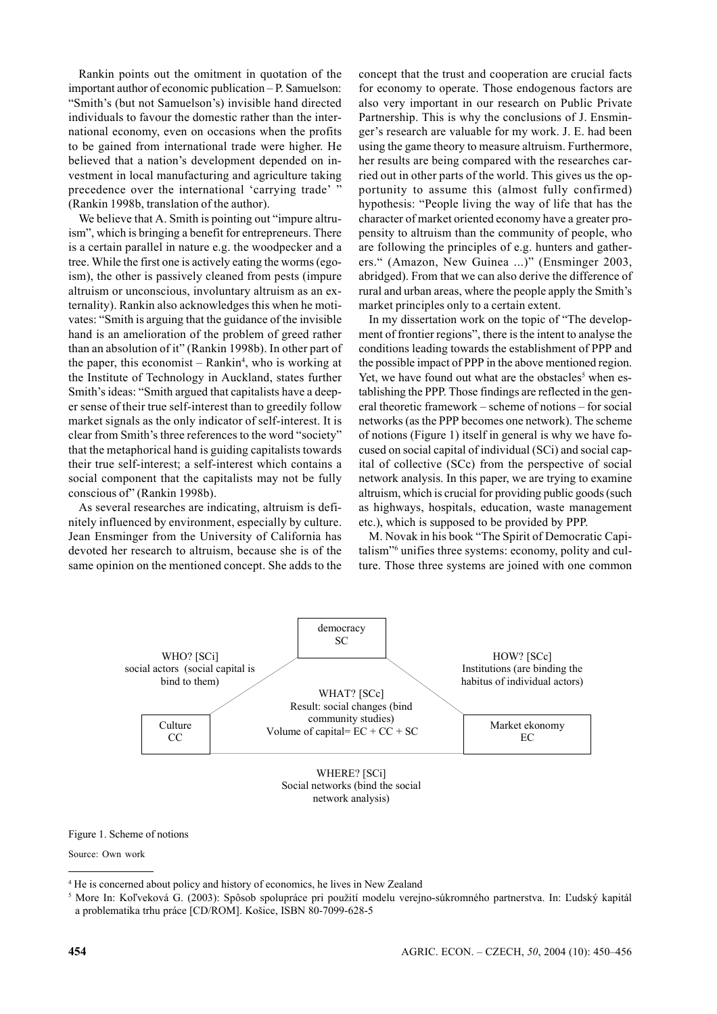Rankin points out the omitment in quotation of the important author of economic publication – P. Samuelson: "Smith's (but not Samuelson's) invisible hand directed individuals to favour the domestic rather than the international economy, even on occasions when the profits to be gained from international trade were higher. He believed that a nation's development depended on investment in local manufacturing and agriculture taking precedence over the international 'carrying trade' (Rankin 1998b, translation of the author).

We believe that A. Smith is pointing out "impure altruism", which is bringing a benefit for entrepreneurs. There is a certain parallel in nature e.g. the woodpecker and a tree. While the first one is actively eating the worms (egoism), the other is passively cleaned from pests (impure altruism or unconscious, involuntary altruism as an externality). Rankin also acknowledges this when he motivates: "Smith is arguing that the guidance of the invisible hand is an amelioration of the problem of greed rather than an absolution of it" (Rankin 1998b). In other part of the paper, this economist – Rankin<sup>4</sup>, who is working at the Institute of Technology in Auckland, states further Smith's ideas: "Smith argued that capitalists have a deeper sense of their true self-interest than to greedily follow market signals as the only indicator of self-interest. It is clear from Smith's three references to the word "society" that the metaphorical hand is guiding capitalists towards their true self-interest; a self-interest which contains a social component that the capitalists may not be fully conscious of" (Rankin 1998b).

As several researches are indicating, altruism is definitely influenced by environment, especially by culture. Jean Ensminger from the University of California has devoted her research to altruism, because she is of the same opinion on the mentioned concept. She adds to the concept that the trust and cooperation are crucial facts for economy to operate. Those endogenous factors are also very important in our research on Public Private Partnership. This is why the conclusions of J. Ensminger's research are valuable for my work. J. E. had been using the game theory to measure altruism. Furthermore, her results are being compared with the researches carried out in other parts of the world. This gives us the opportunity to assume this (almost fully confirmed) hypothesis: "People living the way of life that has the character of market oriented economy have a greater propensity to altruism than the community of people, who are following the principles of e.g. hunters and gatherers." (Amazon, New Guinea ...)" (Ensminger 2003, abridged). From that we can also derive the difference of rural and urban areas, where the people apply the Smith's market principles only to a certain extent.

In my dissertation work on the topic of "The development of frontier regions", there is the intent to analyse the conditions leading towards the establishment of PPP and the possible impact of PPP in the above mentioned region. Yet, we have found out what are the obstacles<sup>5</sup> when establishing the PPP. Those findings are reflected in the general theoretic framework – scheme of notions – for social networks (as the PPP becomes one network). The scheme of notions (Figure 1) itself in general is why we have focused on social capital of individual (SCi) and social capital of collective (SCc) from the perspective of social network analysis. In this paper, we are trying to examine altruism, which is crucial for providing public goods (such as highways, hospitals, education, waste management etc.), which is supposed to be provided by PPP.

M. Novak in his book "The Spirit of Democratic Capitalism"6 unifies three systems: economy, polity and culture. Those three systems are joined with one common



#### Figure 1. Scheme of notions

Source: Own work

<sup>&</sup>lt;sup>4</sup> He is concerned about policy and history of economics, he lives in New Zealand

<sup>5</sup> More In: Koľveková G. (2003): Spôsob spolupráce pri použití modelu verejno-súkromného partnerstva. In: Ľudský kapitál a problematika trhu práce [CD/ROM]. Košice, ISBN 80-7099-628-5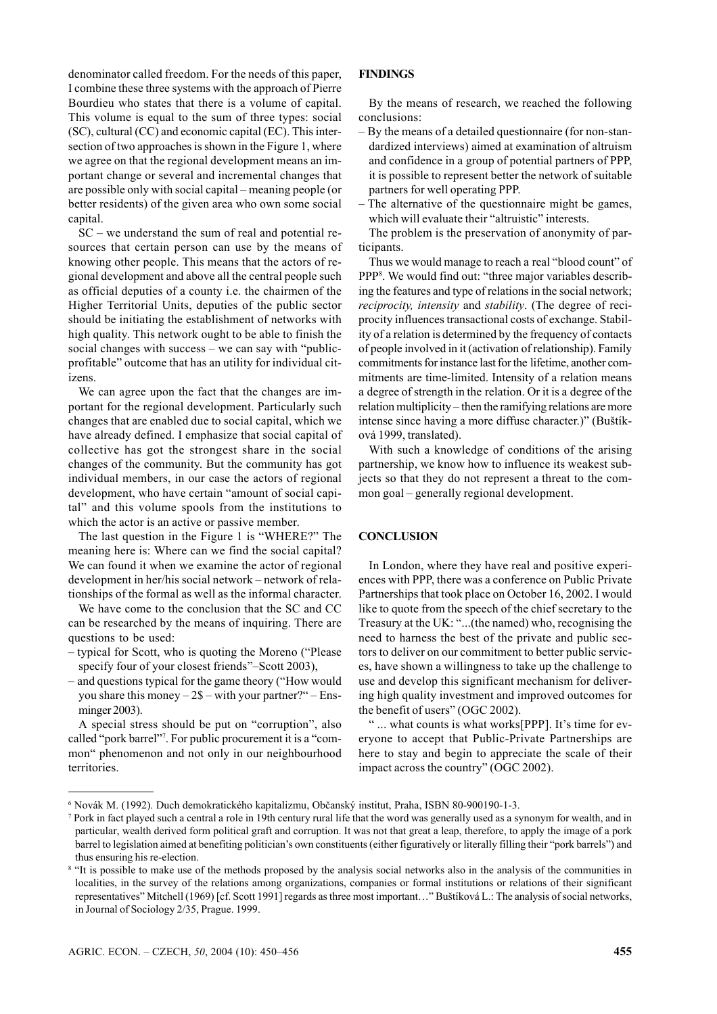denominator called freedom. For the needs of this paper, I combine these three systems with the approach of Pierre Bourdieu who states that there is a volume of capital. This volume is equal to the sum of three types: social (SC), cultural (CC) and economic capital (EC). This intersection of two approaches is shown in the Figure 1, where we agree on that the regional development means an important change or several and incremental changes that are possible only with social capital – meaning people (or better residents) of the given area who own some social capital.

SC – we understand the sum of real and potential resources that certain person can use by the means of knowing other people. This means that the actors of regional development and above all the central people such as official deputies of a county i.e. the chairmen of the Higher Territorial Units, deputies of the public sector should be initiating the establishment of networks with high quality. This network ought to be able to finish the social changes with success – we can say with "publicprofitable" outcome that has an utility for individual citizens.

We can agree upon the fact that the changes are important for the regional development. Particularly such changes that are enabled due to social capital, which we have already defined. I emphasize that social capital of collective has got the strongest share in the social changes of the community. But the community has got individual members, in our case the actors of regional development, who have certain "amount of social capital" and this volume spools from the institutions to which the actor is an active or passive member.

The last question in the Figure 1 is "WHERE?" The meaning here is: Where can we find the social capital? We can found it when we examine the actor of regional development in her/his social network – network of relationships of the formal as well as the informal character.

We have come to the conclusion that the SC and CC can be researched by the means of inquiring. There are questions to be used:

- typical for Scott, who is quoting the Moreno ("Please specify four of your closest friends"–Scott 2003),
- and questions typical for the game theory ("How would you share this money  $-2\$  – with your partner?" – Ensminger 2003).

A special stress should be put on "corruption", also called "pork barrel"7 . For public procurement it is a "common" phenomenon and not only in our neighbourhood territories.

#### **FINDINGS**

By the means of research, we reached the following conclusions:

- By the means of a detailed questionnaire (for non-standardized interviews) aimed at examination of altruism and confidence in a group of potential partners of PPP, it is possible to represent better the network of suitable partners for well operating PPP.
- The alternative of the questionnaire might be games, which will evaluate their "altruistic" interests.

The problem is the preservation of anonymity of participants.

Thus we would manage to reach a real "blood count" of PPP8 . We would find out: "three major variables describing the features and type of relations in the social network; *reciprocity, intensity* and *stability*. (The degree of reciprocity influences transactional costs of exchange. Stability of a relation is determined by the frequency of contacts of people involved in it (activation of relationship). Family commitments for instance last for the lifetime, another commitments are time-limited. Intensity of a relation means a degree of strength in the relation. Or it is a degree of the relation multiplicity – then the ramifying relations are more intense since having a more diffuse character.)" (Buštíková 1999, translated).

With such a knowledge of conditions of the arising partnership, we know how to influence its weakest subjects so that they do not represent a threat to the common goal – generally regional development.

### **CONCLUSION**

In London, where they have real and positive experiences with PPP, there was a conference on Public Private Partnerships that took place on October 16, 2002. I would like to quote from the speech of the chief secretary to the Treasury at the UK: "...(the named) who, recognising the need to harness the best of the private and public sectors to deliver on our commitment to better public services, have shown a willingness to take up the challenge to use and develop this significant mechanism for delivering high quality investment and improved outcomes for the benefit of users" (OGC 2002).

" ... what counts is what works[PPP]. It's time for everyone to accept that Public-Private Partnerships are here to stay and begin to appreciate the scale of their impact across the country" (OGC 2002).

<sup>6</sup> Novák M. (1992). Duch demokratického kapitalizmu, Občanský institut, Praha, ISBN 80-900190-1-3.

<sup>7</sup> Pork in fact played such a central a role in 19th century rural life that the word was generally used as a synonym for wealth, and in particular, wealth derived form political graft and corruption. It was not that great a leap, therefore, to apply the image of a pork barrel to legislation aimed at benefiting politician's own constituents (either figuratively or literally filling their "pork barrels") and thus ensuring his re-election.

<sup>&</sup>lt;sup>8</sup> "It is possible to make use of the methods proposed by the analysis social networks also in the analysis of the communities in localities, in the survey of the relations among organizations, companies or formal institutions or relations of their significant representatives" Mitchell (1969) [cf. Scott 1991] regards as three most important…" Buštíková L.: The analysis of social networks, in Journal of Sociology 2/35, Prague. 1999.